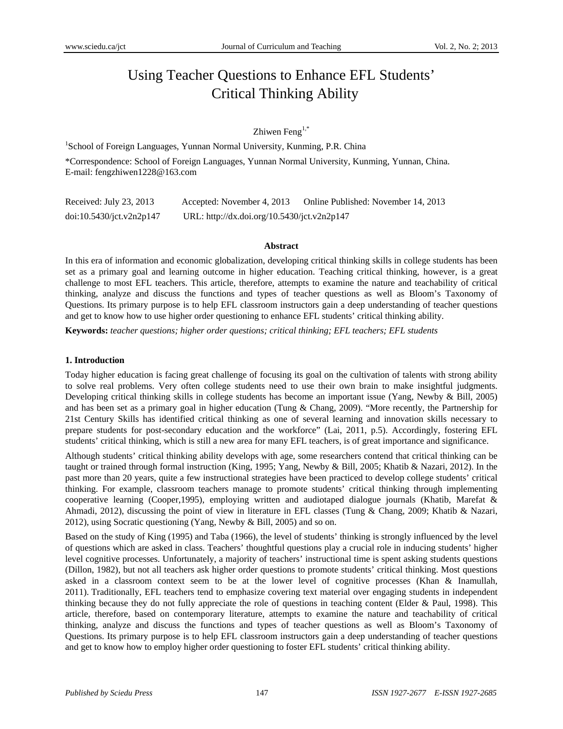# Using Teacher Questions to Enhance EFL Students' Critical Thinking Ability

# Zhiwen Feng $1,$ \*

<sup>1</sup>School of Foreign Languages, Yunnan Normal University, Kunming, P.R. China \*Correspondence: School of Foreign Languages, Yunnan Normal University, Kunming, Yunnan, China. E-mail: fengzhiwen1228@163.com

Received: July 23, 2013 Accepted: November 4, 2013 Online Published: November 14, 2013 doi:10.5430/jct.v2n2p147 URL: http://dx.doi.org/10.5430/jct.v2n2p147

## **Abstract**

In this era of information and economic globalization, developing critical thinking skills in college students has been set as a primary goal and learning outcome in higher education. Teaching critical thinking, however, is a great challenge to most EFL teachers. This article, therefore, attempts to examine the nature and teachability of critical thinking, analyze and discuss the functions and types of teacher questions as well as Bloom's Taxonomy of Questions. Its primary purpose is to help EFL classroom instructors gain a deep understanding of teacher questions and get to know how to use higher order questioning to enhance EFL students' critical thinking ability.

**Keywords:** *teacher questions; higher order questions; critical thinking; EFL teachers; EFL students*

## **1. Introduction**

Today higher education is facing great challenge of focusing its goal on the cultivation of talents with strong ability to solve real problems. Very often college students need to use their own brain to make insightful judgments. Developing critical thinking skills in college students has become an important issue (Yang, Newby & Bill, 2005) and has been set as a primary goal in higher education (Tung & Chang, 2009). "More recently, the Partnership for 21st Century Skills has identified critical thinking as one of several learning and innovation skills necessary to prepare students for post-secondary education and the workforce" (Lai, 2011, p.5). Accordingly, fostering EFL students' critical thinking, which is still a new area for many EFL teachers, is of great importance and significance.

Although students' critical thinking ability develops with age, some researchers contend that critical thinking can be taught or trained through formal instruction (King, 1995; Yang, Newby & Bill, 2005; Khatib & Nazari, 2012). In the past more than 20 years, quite a few instructional strategies have been practiced to develop college students' critical thinking. For example, classroom teachers manage to promote students' critical thinking through implementing cooperative learning (Cooper,1995), employing written and audiotaped dialogue journals (Khatib, Marefat & Ahmadi, 2012), discussing the point of view in literature in EFL classes (Tung & Chang, 2009; Khatib & Nazari, 2012), using Socratic questioning (Yang, Newby & Bill, 2005) and so on.

Based on the study of King (1995) and Taba (1966), the level of students' thinking is strongly influenced by the level of questions which are asked in class. Teachers' thoughtful questions play a crucial role in inducing students' higher level cognitive processes. Unfortunately, a majority of teachers' instructional time is spent asking students questions (Dillon, 1982), but not all teachers ask higher order questions to promote students' critical thinking. Most questions asked in a classroom context seem to be at the lower level of cognitive processes (Khan & Inamullah, 2011). Traditionally, EFL teachers tend to emphasize covering text material over engaging students in independent thinking because they do not fully appreciate the role of questions in teaching content (Elder & Paul, 1998). This article, therefore, based on contemporary literature, attempts to examine the nature and teachability of critical thinking, analyze and discuss the functions and types of teacher questions as well as Bloom's Taxonomy of Questions. Its primary purpose is to help EFL classroom instructors gain a deep understanding of teacher questions and get to know how to employ higher order questioning to foster EFL students' critical thinking ability.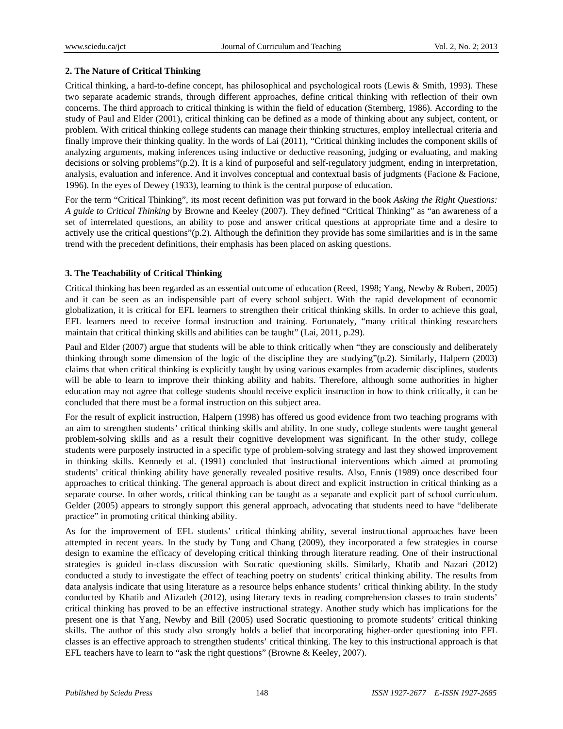## **2. The Nature of Critical Thinking**

Critical thinking, a hard-to-define concept, has philosophical and psychological roots (Lewis & Smith, 1993). These two separate academic strands, through different approaches, define critical thinking with reflection of their own concerns. The third approach to critical thinking is within the field of education (Sternberg, 1986). According to the study of Paul and Elder (2001), critical thinking can be defined as a mode of thinking about any subject, content, or problem. With critical thinking college students can manage their thinking structures, employ intellectual criteria and finally improve their thinking quality. In the words of Lai (2011), "Critical thinking includes the component skills of analyzing arguments, making inferences using inductive or deductive reasoning, judging or evaluating, and making decisions or solving problems"(p.2). It is a kind of purposeful and self-regulatory judgment, ending in interpretation, analysis, evaluation and inference. And it involves conceptual and contextual basis of judgments (Facione & Facione, 1996). In the eyes of Dewey (1933), learning to think is the central purpose of education.

For the term "Critical Thinking", its most recent definition was put forward in the book *Asking the Right Questions: A guide to Critical Thinking* by Browne and Keeley (2007). They defined "Critical Thinking" as "an awareness of a set of interrelated questions, an ability to pose and answer critical questions at appropriate time and a desire to actively use the critical questions"(p.2). Although the definition they provide has some similarities and is in the same trend with the precedent definitions, their emphasis has been placed on asking questions.

## **3. The Teachability of Critical Thinking**

Critical thinking has been regarded as an essential outcome of education (Reed, 1998; Yang, Newby & Robert, 2005) and it can be seen as an indispensible part of every school subject. With the rapid development of economic globalization, it is critical for EFL learners to strengthen their critical thinking skills. In order to achieve this goal, EFL learners need to receive formal instruction and training. Fortunately, "many critical thinking researchers maintain that critical thinking skills and abilities can be taught" (Lai, 2011, p.29).

Paul and Elder (2007) argue that students will be able to think critically when "they are consciously and deliberately thinking through some dimension of the logic of the discipline they are studying"(p.2). Similarly, Halpern (2003) claims that when critical thinking is explicitly taught by using various examples from academic disciplines, students will be able to learn to improve their thinking ability and habits. Therefore, although some authorities in higher education may not agree that college students should receive explicit instruction in how to think critically, it can be concluded that there must be a formal instruction on this subject area.

For the result of explicit instruction, Halpern (1998) has offered us good evidence from two teaching programs with an aim to strengthen students' critical thinking skills and ability. In one study, college students were taught general problem-solving skills and as a result their cognitive development was significant. In the other study, college students were purposely instructed in a specific type of problem-solving strategy and last they showed improvement in thinking skills. Kennedy et al. (1991) concluded that instructional interventions which aimed at promoting students' critical thinking ability have generally revealed positive results. Also, Ennis (1989) once described four approaches to critical thinking. The general approach is about direct and explicit instruction in critical thinking as a separate course. In other words, critical thinking can be taught as a separate and explicit part of school curriculum. Gelder (2005) appears to strongly support this general approach, advocating that students need to have "deliberate practice" in promoting critical thinking ability.

As for the improvement of EFL students' critical thinking ability, several instructional approaches have been attempted in recent years. In the study by Tung and Chang (2009), they incorporated a few strategies in course design to examine the efficacy of developing critical thinking through literature reading. One of their instructional strategies is guided in-class discussion with Socratic questioning skills. Similarly, Khatib and Nazari (2012) conducted a study to investigate the effect of teaching poetry on students' critical thinking ability. The results from data analysis indicate that using literature as a resource helps enhance students' critical thinking ability. In the study conducted by Khatib and Alizadeh (2012), using literary texts in reading comprehension classes to train students' critical thinking has proved to be an effective instructional strategy. Another study which has implications for the present one is that Yang, Newby and Bill (2005) used Socratic questioning to promote students' critical thinking skills. The author of this study also strongly holds a belief that incorporating higher-order questioning into EFL classes is an effective approach to strengthen students' critical thinking. The key to this instructional approach is that EFL teachers have to learn to "ask the right questions" (Browne & Keeley, 2007).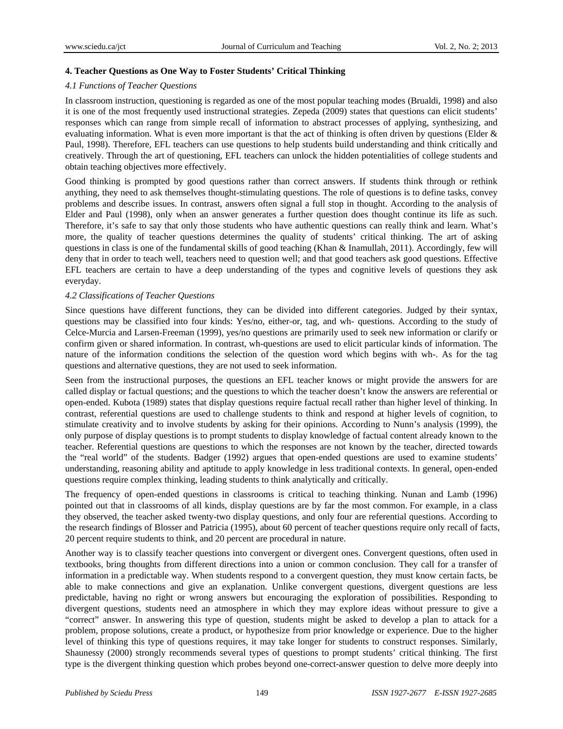## **4. Teacher Questions as One Way to Foster Students' Critical Thinking**

#### *4.1 Functions of Teacher Questions*

In classroom instruction, questioning is regarded as one of the most popular teaching modes (Brualdi, 1998) and also it is one of the most frequently used instructional strategies. Zepeda (2009) states that questions can elicit students' responses which can range from simple recall of information to abstract processes of applying, synthesizing, and evaluating information. What is even more important is that the act of thinking is often driven by questions (Elder  $\&$ Paul, 1998). Therefore, EFL teachers can use questions to help students build understanding and think critically and creatively. Through the art of questioning, EFL teachers can unlock the hidden potentialities of college students and obtain teaching objectives more effectively.

Good thinking is prompted by good questions rather than correct answers. If students think through or rethink anything, they need to ask themselves thought-stimulating questions. The role of questions is to define tasks, convey problems and describe issues. In contrast, answers often signal a full stop in thought. According to the analysis of Elder and Paul (1998), only when an answer generates a further question does thought continue its life as such. Therefore, it's safe to say that only those students who have authentic questions can really think and learn. What's more, the quality of teacher questions determines the quality of students' critical thinking. The art of asking questions in class is one of the fundamental skills of good teaching (Khan & Inamullah, 2011). Accordingly, few will deny that in order to teach well, teachers need to question well; and that good teachers ask good questions. Effective EFL teachers are certain to have a deep understanding of the types and cognitive levels of questions they ask everyday.

## *4.2 Classifications of Teacher Questions*

Since questions have different functions, they can be divided into different categories. Judged by their syntax, questions may be classified into four kinds: Yes/no, either-or, tag, and wh- questions. According to the study of Celce-Murcia and Larsen-Freeman (1999), yes/no questions are primarily used to seek new information or clarify or confirm given or shared information. In contrast, wh-questions are used to elicit particular kinds of information. The nature of the information conditions the selection of the question word which begins with wh-. As for the tag questions and alternative questions, they are not used to seek information.

Seen from the instructional purposes, the questions an EFL teacher knows or might provide the answers for are called display or factual questions; and the questions to which the teacher doesn't know the answers are referential or open-ended. Kubota (1989) states that display questions require factual recall rather than higher level of thinking. In contrast, referential questions are used to challenge students to think and respond at higher levels of cognition, to stimulate creativity and to involve students by asking for their opinions. According to Nunn's analysis (1999), the only purpose of display questions is to prompt students to display knowledge of factual content already known to the teacher. Referential questions are questions to which the responses are not known by the teacher, directed towards the "real world" of the students. Badger (1992) argues that open-ended questions are used to examine students' understanding, reasoning ability and aptitude to apply knowledge in less traditional contexts. In general, open-ended questions require complex thinking, leading students to think analytically and critically.

The frequency of open-ended questions in classrooms is critical to teaching thinking. Nunan and Lamb (1996) pointed out that in classrooms of all kinds, display questions are by far the most common. For example, in a class they observed, the teacher asked twenty-two display questions, and only four are referential questions. According to the research findings of Blosser and Patricia (1995), about 60 percent of teacher questions require only recall of facts, 20 percent require students to think, and 20 percent are procedural in nature.

Another way is to classify teacher questions into convergent or divergent ones. Convergent questions, often used in textbooks, bring thoughts from different directions into a union or common conclusion. They call for a transfer of information in a predictable way. When students respond to a convergent question, they must know certain facts, be able to make connections and give an explanation. Unlike convergent questions, divergent questions are less predictable, having no right or wrong answers but encouraging the exploration of possibilities. Responding to divergent questions, students need an atmosphere in which they may explore ideas without pressure to give a "correct" answer. In answering this type of question, students might be asked to develop a plan to attack for a problem, propose solutions, create a product, or hypothesize from prior knowledge or experience. Due to the higher level of thinking this type of questions requires, it may take longer for students to construct responses. Similarly, Shaunessy (2000) strongly recommends several types of questions to prompt students' critical thinking. The first type is the divergent thinking question which probes beyond one-correct-answer question to delve more deeply into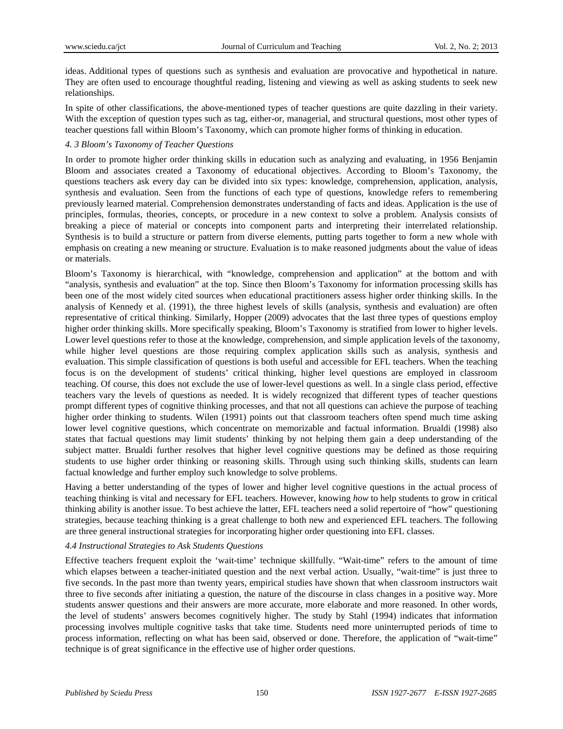ideas. Additional types of questions such as synthesis and evaluation are provocative and hypothetical in nature. They are often used to encourage thoughtful reading, listening and viewing as well as asking students to seek new relationships.

In spite of other classifications, the above-mentioned types of teacher questions are quite dazzling in their variety. With the exception of question types such as tag, either-or, managerial, and structural questions, most other types of teacher questions fall within Bloom's Taxonomy, which can promote higher forms of thinking in education.

#### *4. 3 Bloom's Taxonomy of Teacher Questions*

In order to promote higher order thinking skills in education such as analyzing and evaluating, in 1956 Benjamin Bloom and associates created a Taxonomy of educational objectives. According to Bloom's Taxonomy, the questions teachers ask every day can be divided into six types: knowledge, comprehension, application, analysis, synthesis and evaluation. Seen from the functions of each type of questions, knowledge refers to remembering previously learned material. Comprehension demonstrates understanding of facts and ideas. Application is the use of principles, formulas, theories, concepts, or procedure in a new context to solve a problem. Analysis consists of breaking a piece of material or concepts into component parts and interpreting their interrelated relationship. Synthesis is to build a structure or pattern from diverse elements, putting parts together to form a new whole with emphasis on creating a new meaning or structure. Evaluation is to make reasoned judgments about the value of ideas or materials.

Bloom's Taxonomy is hierarchical, with "knowledge, comprehension and application" at the bottom and with "analysis, synthesis and evaluation" at the top. Since then Bloom's Taxonomy for information processing skills has been one of the most widely cited sources when educational practitioners assess higher order thinking skills. In the analysis of Kennedy et al. (1991), the three highest levels of skills (analysis, synthesis and evaluation) are often representative of critical thinking. Similarly, Hopper (2009) advocates that the last three types of questions employ higher order thinking skills. More specifically speaking, Bloom's Taxonomy is stratified from lower to higher levels. Lower level questions refer to those at the knowledge, comprehension, and simple application levels of the taxonomy, while higher level questions are those requiring complex application skills such as analysis, synthesis and evaluation. This simple classification of questions is both useful and accessible for EFL teachers. When the teaching focus is on the development of students' critical thinking, higher level questions are employed in classroom teaching. Of course, this does not exclude the use of lower-level questions as well. In a single class period, effective teachers vary the levels of questions as needed. It is widely recognized that different types of teacher questions prompt different types of cognitive thinking processes, and that not all questions can achieve the purpose of teaching higher order thinking to students. Wilen (1991) points out that classroom teachers often spend much time asking lower level cognitive questions, which concentrate on memorizable and factual information. Brualdi (1998) also states that factual questions may limit students' thinking by not helping them gain a deep understanding of the subject matter. Brualdi further resolves that higher level cognitive questions may be defined as those requiring students to use higher order thinking or reasoning skills. Through using such thinking skills, students can learn factual knowledge and further employ such knowledge to solve problems.

Having a better understanding of the types of lower and higher level cognitive questions in the actual process of teaching thinking is vital and necessary for EFL teachers. However, knowing *how* to help students to grow in critical thinking ability is another issue. To best achieve the latter, EFL teachers need a solid repertoire of "how" questioning strategies, because teaching thinking is a great challenge to both new and experienced EFL teachers. The following are three general instructional strategies for incorporating higher order questioning into EFL classes.

#### *4.4 Instructional Strategies to Ask Students Questions*

Effective teachers frequent exploit the 'wait-time' technique skillfully. "Wait-time" refers to the amount of time which elapses between a teacher-initiated question and the next verbal action. Usually, "wait-time" is just three to five seconds. In the past more than twenty years, empirical studies have shown that when classroom instructors wait three to five seconds after initiating a question, the nature of the discourse in class changes in a positive way. More students answer questions and their answers are more accurate, more elaborate and more reasoned. In other words, the level of students' answers becomes cognitively higher. The study by Stahl (1994) indicates that information processing involves multiple cognitive tasks that take time. Students need more uninterrupted periods of time to process information, reflecting on what has been said, observed or done. Therefore, the application of "wait-time" technique is of great significance in the effective use of higher order questions.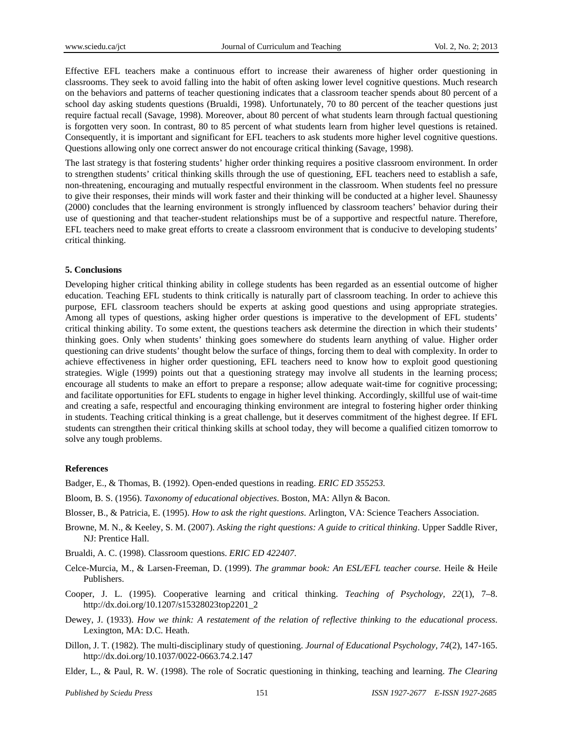Effective EFL teachers make a continuous effort to increase their awareness of higher order questioning in classrooms. They seek to avoid falling into the habit of often asking lower level cognitive questions. Much research on the behaviors and patterns of teacher questioning indicates that a classroom teacher spends about 80 percent of a school day asking students questions (Brualdi, 1998). Unfortunately, 70 to 80 percent of the teacher questions just require factual recall (Savage, 1998). Moreover, about 80 percent of what students learn through factual questioning is forgotten very soon. In contrast, 80 to 85 percent of what students learn from higher level questions is retained. Consequently, it is important and significant for EFL teachers to ask students more higher level cognitive questions. Questions allowing only one correct answer do not encourage critical thinking (Savage, 1998).

The last strategy is that fostering students' higher order thinking requires a positive classroom environment. In order to strengthen students' critical thinking skills through the use of questioning, EFL teachers need to establish a safe, non-threatening, encouraging and mutually respectful environment in the classroom. When students feel no pressure to give their responses, their minds will work faster and their thinking will be conducted at a higher level. Shaunessy (2000) concludes that the learning environment is strongly influenced by classroom teachers' behavior during their use of questioning and that teacher-student relationships must be of a supportive and respectful nature. Therefore, EFL teachers need to make great efforts to create a classroom environment that is conducive to developing students' critical thinking.

#### **5. Conclusions**

Developing higher critical thinking ability in college students has been regarded as an essential outcome of higher education. Teaching EFL students to think critically is naturally part of classroom teaching. In order to achieve this purpose, EFL classroom teachers should be experts at asking good questions and using appropriate strategies. Among all types of questions, asking higher order questions is imperative to the development of EFL students' critical thinking ability. To some extent, the questions teachers ask determine the direction in which their students' thinking goes. Only when students' thinking goes somewhere do students learn anything of value. Higher order questioning can drive students' thought below the surface of things, forcing them to deal with complexity. In order to achieve effectiveness in higher order questioning, EFL teachers need to know how to exploit good questioning strategies. Wigle (1999) points out that a questioning strategy may involve all students in the learning process; encourage all students to make an effort to prepare a response; allow adequate wait-time for cognitive processing; and facilitate opportunities for EFL students to engage in higher level thinking. Accordingly, skillful use of wait-time and creating a safe, respectful and encouraging thinking environment are integral to fostering higher order thinking in students. Teaching critical thinking is a great challenge, but it deserves commitment of the highest degree. If EFL students can strengthen their critical thinking skills at school today, they will become a qualified citizen tomorrow to solve any tough problems.

#### **References**

Badger, E., & Thomas, B. (1992). Open-ended questions in reading. *ERIC ED 355253.* 

- Bloom, B. S. (1956). *Taxonomy of educational objectives*. Boston, MA: Allyn & Bacon.
- Blosser, B., & Patricia, E. (1995). *How to ask the right questions*. Arlington, VA: Science Teachers Association.
- Browne, M. N., & Keeley, S. M. (2007). *Asking the right questions: A guide to critical thinking*. Upper Saddle River, NJ: Prentice Hall.
- Brualdi, A. C. (1998). Classroom questions. *ERIC ED 422407*.
- Celce-Murcia, M., & Larsen-Freeman, D. (1999). *The grammar book: An ESL/EFL teacher course.* Heile & Heile Publishers.
- Cooper, J. L. (1995). Cooperative learning and critical thinking. *Teaching of Psychology, 22*(1), 7–8. http://dx.doi.org/10.1207/s15328023top2201\_2
- Dewey, J. (1933). *How we think: A restatement of the relation of reflective thinking to the educational process*. Lexington, MA: D.C. Heath.
- Dillon, J. T. (1982). The multi-disciplinary study of questioning. *Journal of Educational Psychology, 74*(2), 147-165. http://dx.doi.org/10.1037/0022-0663.74.2.147
- Elder, L., & Paul, R. W. (1998). The role of Socratic questioning in thinking, teaching and learning. *The Clearing*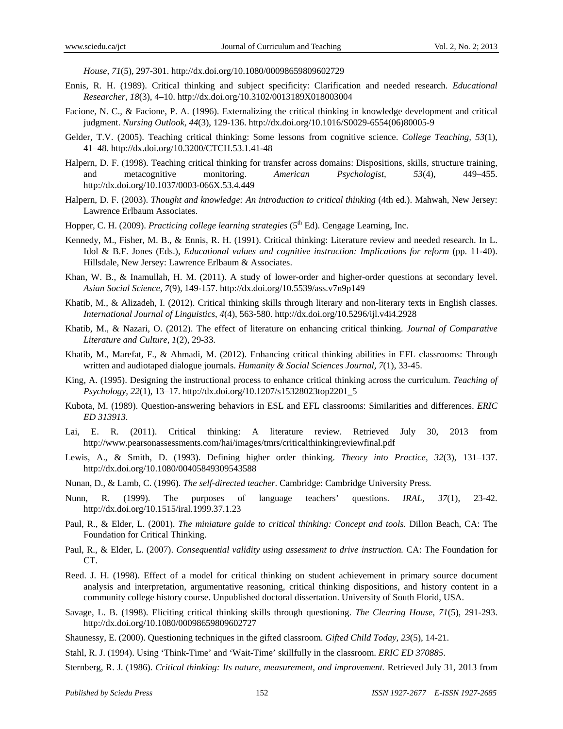*House, 71*(5), 297-301. http://dx.doi.org/10.1080/00098659809602729

- Ennis, R. H. (1989). Critical thinking and subject specificity: Clarification and needed research. *Educational Researcher, 18*(3), 4–10. http://dx.doi.org/10.3102/0013189X018003004
- Facione, N. C., & Facione, P. A. (1996). Externalizing the critical thinking in knowledge development and critical judgment. *Nursing Outlook, 44*(3), 129-136. http://dx.doi.org/10.1016/S0029-6554(06)80005-9
- Gelder, T.V. (2005). Teaching critical thinking: Some lessons from cognitive science. *College Teaching, 53*(1), 41–48. http://dx.doi.org/10.3200/CTCH.53.1.41-48
- Halpern, D. F. (1998). Teaching critical thinking for transfer across domains: Dispositions, skills, structure training, and metacognitive monitoring. *American Psychologist, 53*(4), 449–455. http://dx.doi.org/10.1037/0003-066X.53.4.449
- Halpern, D. F. (2003). *Thought and knowledge: An introduction to critical thinking* (4th ed.). Mahwah, New Jersey: Lawrence Erlbaum Associates.
- Hopper, C. H. (2009). *Practicing college learning strategies* (5<sup>th</sup> Ed). Cengage Learning, Inc.
- Kennedy, M., Fisher, M. B., & Ennis, R. H. (1991). Critical thinking: Literature review and needed research. In L. Idol & B.F. Jones (Eds.), *Educational values and cognitive instruction: Implications for reform* (pp. 11-40). Hillsdale, New Jersey: Lawrence Erlbaum & Associates.
- Khan, W. B., & Inamullah, H. M. (2011). A study of lower-order and higher-order questions at secondary level. *Asian Social Science*, *7*(9), 149-157. http://dx.doi.org/10.5539/ass.v7n9p149
- Khatib, M., & Alizadeh, I. (2012). Critical thinking skills through literary and non-literary texts in English classes. *International Journal of Linguistics*, *4*(4), 563-580. http://dx.doi.org/10.5296/ijl.v4i4.2928
- Khatib, M., & Nazari, O. (2012). The effect of literature on enhancing critical thinking. *Journal of Comparative Literature and Culture, 1*(2), 29-33.
- Khatib, M., Marefat, F., & Ahmadi, M. (2012). Enhancing critical thinking abilities in EFL classrooms: Through written and audiotaped dialogue journals. *Humanity & Social Sciences Journal, 7*(1), 33-45.
- King, A. (1995). Designing the instructional process to enhance critical thinking across the curriculum. *Teaching of Psychology, 22*(1), 13–17. http://dx.doi.org/10.1207/s15328023top2201\_5
- Kubota, M. (1989). Question-answering behaviors in ESL and EFL classrooms: Similarities and differences. *ERIC ED 313913*.
- Lai, E. R. (2011). Critical thinking: A literature review. Retrieved July 30, 2013 from http://www.pearsonassessments.com/hai/images/tmrs/criticalthinkingreviewfinal.pdf
- Lewis, A., & Smith, D. (1993). Defining higher order thinking. *Theory into Practice, 32*(3), 131–137. http://dx.doi.org/10.1080/00405849309543588
- Nunan, D., & Lamb, C. (1996). *The self-directed teacher*. Cambridge: Cambridge University Press.
- Nunn, R. (1999). The purposes of language teachers' questions. *IRAL, 37*(1), 23-42. http://dx.doi.org/10.1515/iral.1999.37.1.23
- Paul, R., & Elder, L. (2001). *The miniature guide to critical thinking: Concept and tools.* Dillon Beach, CA: The Foundation for Critical Thinking.
- Paul, R., & Elder, L. (2007). *Consequential validity using assessment to drive instruction.* CA: The Foundation for CT.
- Reed. J. H. (1998). Effect of a model for critical thinking on student achievement in primary source document analysis and interpretation, argumentative reasoning, critical thinking dispositions, and history content in a community college history course. Unpublished doctoral dissertation. University of South Florid, USA.
- Savage, L. B. (1998). Eliciting critical thinking skills through questioning. *The Clearing House, 71*(5), 291-293. http://dx.doi.org/10.1080/00098659809602727
- Shaunessy, E. (2000). Questioning techniques in the gifted classroom. *Gifted Child Today, 23*(5), 14-21.
- Stahl, R. J. (1994). Using 'Think-Time' and 'Wait-Time' skillfully in the classroom. *ERIC ED 370885*.
- Sternberg, R. J. (1986). *Critical thinking: Its nature, measurement, and improvement.* Retrieved July 31, 2013 from